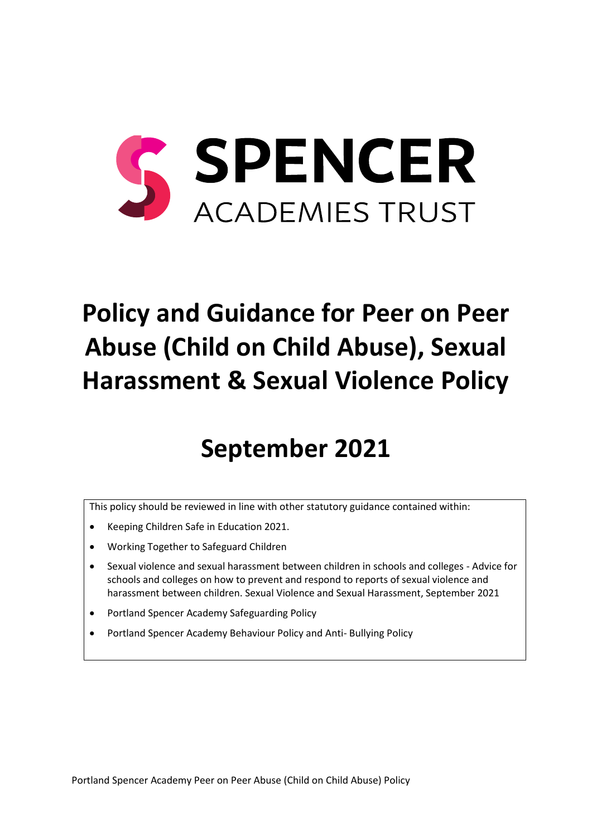

# **Policy and Guidance for Peer on Peer Abuse (Child on Child Abuse), Sexual Harassment & Sexual Violence Policy**

## **September 2021**

This policy should be reviewed in line with other statutory guidance contained within:

- Keeping Children Safe in Education 2021.
- Working Together to Safeguard Children
- Sexual violence and sexual harassment between children in schools and colleges Advice for schools and colleges on how to prevent and respond to reports of sexual violence and harassment between children. Sexual Violence and Sexual Harassment, September 2021
- Portland Spencer Academy Safeguarding Policy
- Portland Spencer Academy Behaviour Policy and Anti- Bullying Policy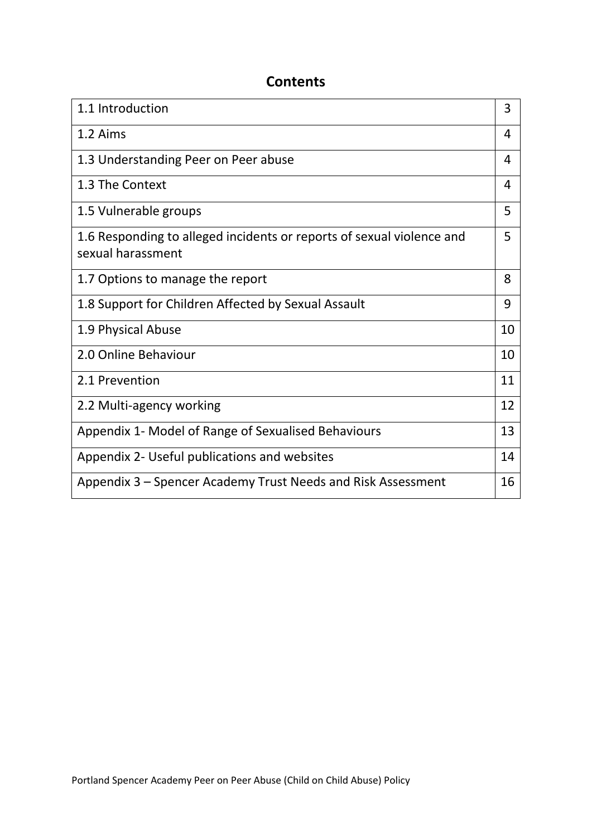## **Contents**

| 1.1 Introduction                                                                           | 3  |
|--------------------------------------------------------------------------------------------|----|
| 1.2 Aims                                                                                   | 4  |
| 1.3 Understanding Peer on Peer abuse                                                       | 4  |
| 1.3 The Context                                                                            | 4  |
| 1.5 Vulnerable groups                                                                      | 5  |
| 1.6 Responding to alleged incidents or reports of sexual violence and<br>sexual harassment | 5  |
| 1.7 Options to manage the report                                                           | 8  |
| 1.8 Support for Children Affected by Sexual Assault                                        | 9  |
| 1.9 Physical Abuse                                                                         | 10 |
| 2.0 Online Behaviour                                                                       | 10 |
| 2.1 Prevention                                                                             | 11 |
| 2.2 Multi-agency working                                                                   | 12 |
| Appendix 1- Model of Range of Sexualised Behaviours                                        | 13 |
| Appendix 2- Useful publications and websites                                               | 14 |
| Appendix 3 – Spencer Academy Trust Needs and Risk Assessment                               | 16 |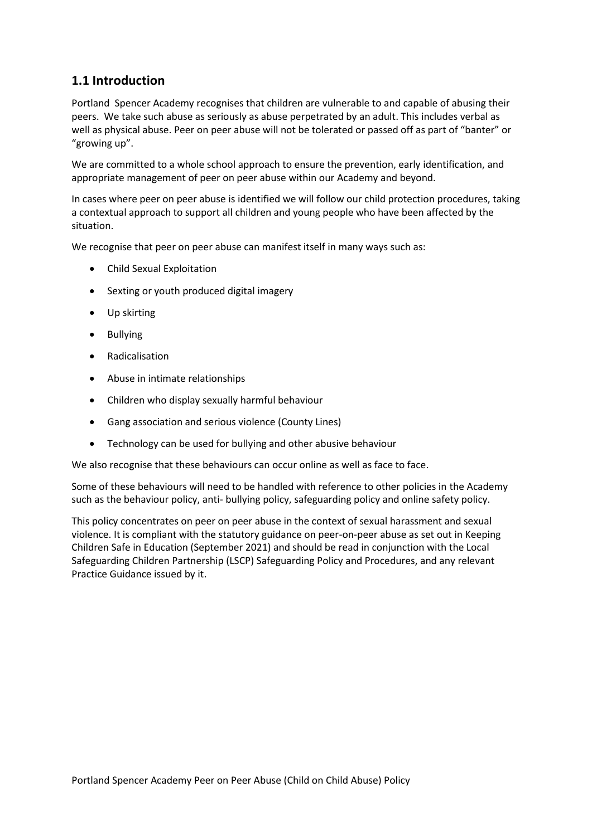## **1.1 Introduction**

Portland Spencer Academy recognises that children are vulnerable to and capable of abusing their peers. We take such abuse as seriously as abuse perpetrated by an adult. This includes verbal as well as physical abuse. Peer on peer abuse will not be tolerated or passed off as part of "banter" or "growing up".

We are committed to a whole school approach to ensure the prevention, early identification, and appropriate management of peer on peer abuse within our Academy and beyond.

In cases where peer on peer abuse is identified we will follow our child protection procedures, taking a contextual approach to support all children and young people who have been affected by the situation.

We recognise that peer on peer abuse can manifest itself in many ways such as:

- Child Sexual Exploitation
- Sexting or youth produced digital imagery
- Up skirting
- Bullying
- Radicalisation
- Abuse in intimate relationships
- Children who display sexually harmful behaviour
- Gang association and serious violence (County Lines)
- Technology can be used for bullying and other abusive behaviour

We also recognise that these behaviours can occur online as well as face to face.

Some of these behaviours will need to be handled with reference to other policies in the Academy such as the behaviour policy, anti- bullying policy, safeguarding policy and online safety policy.

This policy concentrates on peer on peer abuse in the context of sexual harassment and sexual violence. It is compliant with the statutory guidance on peer-on-peer abuse as set out in Keeping Children Safe in Education (September 2021) and should be read in conjunction with the Local Safeguarding Children Partnership (LSCP) Safeguarding Policy and Procedures, and any relevant Practice Guidance issued by it.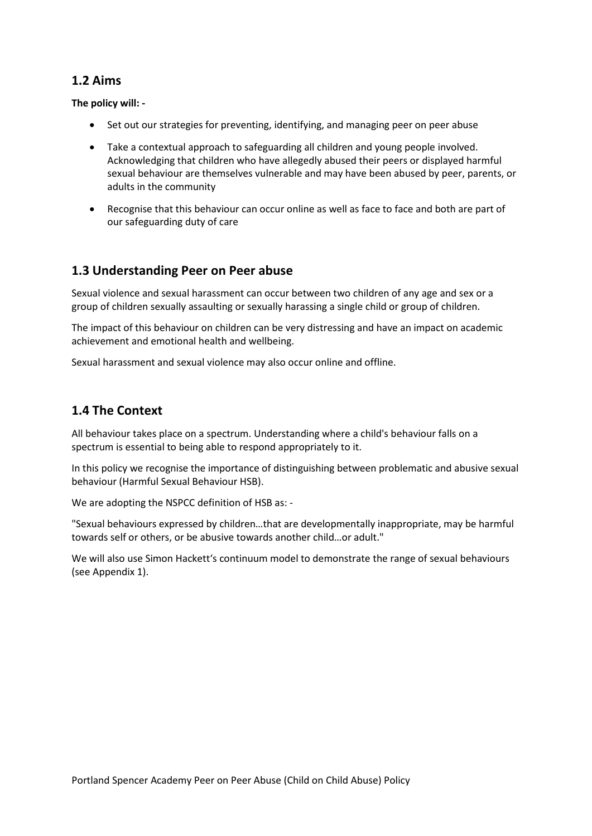## **1.2 Aims**

**The policy will: -**

- Set out our strategies for preventing, identifying, and managing peer on peer abuse
- Take a contextual approach to safeguarding all children and young people involved. Acknowledging that children who have allegedly abused their peers or displayed harmful sexual behaviour are themselves vulnerable and may have been abused by peer, parents, or adults in the community
- Recognise that this behaviour can occur online as well as face to face and both are part of our safeguarding duty of care

## **1.3 Understanding Peer on Peer abuse**

Sexual violence and sexual harassment can occur between two children of any age and sex or a group of children sexually assaulting or sexually harassing a single child or group of children.

The impact of this behaviour on children can be very distressing and have an impact on academic achievement and emotional health and wellbeing.

Sexual harassment and sexual violence may also occur online and offline.

## **1.4 The Context**

All behaviour takes place on a spectrum. Understanding where a child's behaviour falls on a spectrum is essential to being able to respond appropriately to it.

In this policy we recognise the importance of distinguishing between problematic and abusive sexual behaviour (Harmful Sexual Behaviour HSB).

We are adopting the NSPCC definition of HSB as: -

"Sexual behaviours expressed by children…that are developmentally inappropriate, may be harmful towards self or others, or be abusive towards another child…or adult."

We will also use Simon Hackett's continuum model to demonstrate the range of sexual behaviours (see Appendix 1).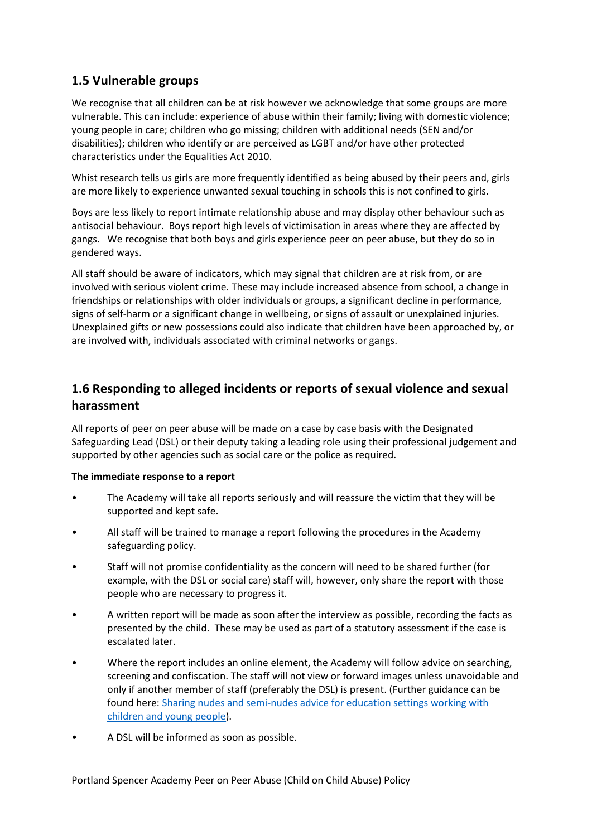## **1.5 Vulnerable groups**

We recognise that all children can be at risk however we acknowledge that some groups are more vulnerable. This can include: experience of abuse within their family; living with domestic violence; young people in care; children who go missing; children with additional needs (SEN and/or disabilities); children who identify or are perceived as LGBT and/or have other protected characteristics under the Equalities Act 2010.

Whist research tells us girls are more frequently identified as being abused by their peers and, girls are more likely to experience unwanted sexual touching in schools this is not confined to girls.

Boys are less likely to report intimate relationship abuse and may display other behaviour such as antisocial behaviour. Boys report high levels of victimisation in areas where they are affected by gangs. We recognise that both boys and girls experience peer on peer abuse, but they do so in gendered ways.

All staff should be aware of indicators, which may signal that children are at risk from, or are involved with serious violent crime. These may include increased absence from school, a change in friendships or relationships with older individuals or groups, a significant decline in performance, signs of self-harm or a significant change in wellbeing, or signs of assault or unexplained injuries. Unexplained gifts or new possessions could also indicate that children have been approached by, or are involved with, individuals associated with criminal networks or gangs.

## **1.6 Responding to alleged incidents or reports of sexual violence and sexual harassment**

All reports of peer on peer abuse will be made on a case by case basis with the Designated Safeguarding Lead (DSL) or their deputy taking a leading role using their professional judgement and supported by other agencies such as social care or the police as required.

#### **The immediate response to a report**

- The Academy will take all reports seriously and will reassure the victim that they will be supported and kept safe.
- All staff will be trained to manage a report following the procedures in the Academy safeguarding policy.
- Staff will not promise confidentiality as the concern will need to be shared further (for example, with the DSL or social care) staff will, however, only share the report with those people who are necessary to progress it.
- A written report will be made as soon after the interview as possible, recording the facts as presented by the child. These may be used as part of a statutory assessment if the case is escalated later.
- Where the report includes an online element, the Academy will follow advice on searching, screening and confiscation. The staff will not view or forward images unless unavoidable and only if another member of staff (preferably the DSL) is present. (Further guidance can be found here: [Sharing nudes and semi-nudes advice for education settings working with](https://www.gov.uk/government/publications/sharing-nudes-and-semi-nudes-advice-for-education-settings-working-with-children-and-young-people/sharing-nudes-and-semi-nudes-advice-for-education-settings-working-with-children-and-young-people)  [children and young people\)](https://www.gov.uk/government/publications/sharing-nudes-and-semi-nudes-advice-for-education-settings-working-with-children-and-young-people/sharing-nudes-and-semi-nudes-advice-for-education-settings-working-with-children-and-young-people).
- A DSL will be informed as soon as possible.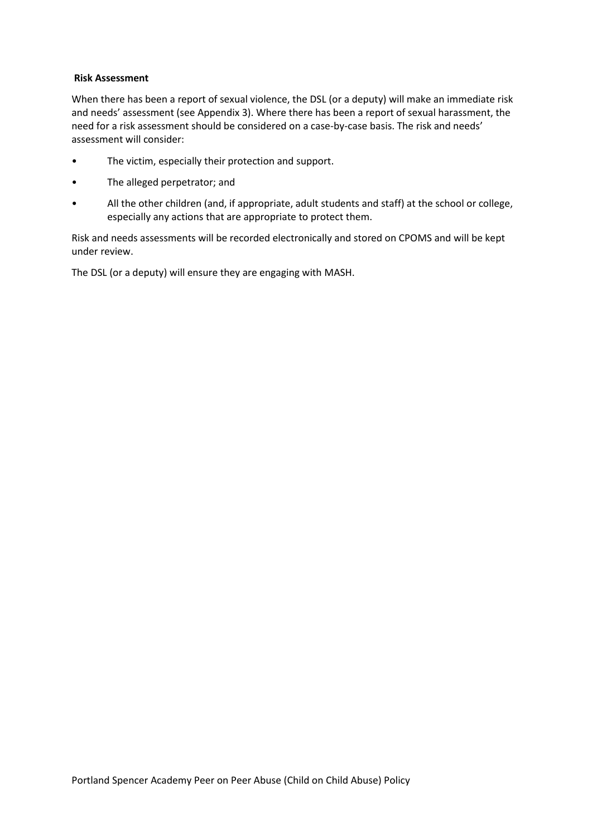#### **Risk Assessment**

When there has been a report of sexual violence, the DSL (or a deputy) will make an immediate risk and needs' assessment (see Appendix 3). Where there has been a report of sexual harassment, the need for a risk assessment should be considered on a case-by-case basis. The risk and needs' assessment will consider:

- The victim, especially their protection and support.
- The alleged perpetrator; and
- All the other children (and, if appropriate, adult students and staff) at the school or college, especially any actions that are appropriate to protect them.

Risk and needs assessments will be recorded electronically and stored on CPOMS and will be kept under review.

The DSL (or a deputy) will ensure they are engaging with MASH.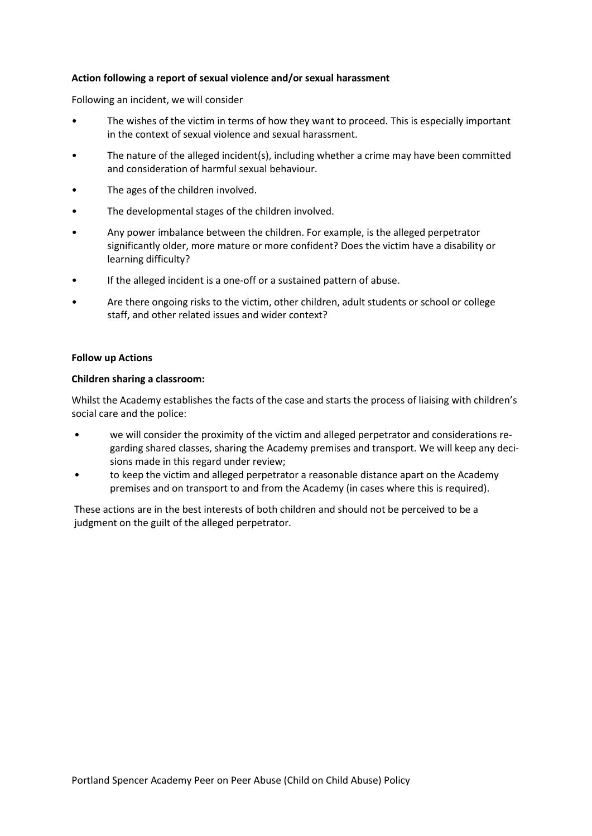#### **Action following a report of sexual violence and/or sexual harassment**

Following an incident, we will consider

- The wishes of the victim in terms of how they want to proceed. This is especially important in the context of sexual violence and sexual harassment.
- The nature of the alleged incident(s), including whether a crime may have been committed and consideration of harmful sexual behaviour.
- The ages of the children involved.
- The developmental stages of the children involved.
- Any power imbalance between the children. For example, is the alleged perpetrator significantly older, more mature or more confident? Does the victim have a disability or learning difficulty?
- If the alleged incident is a one-off or a sustained pattern of abuse.
- Are there ongoing risks to the victim, other children, adult students or school or college staff, and other related issues and wider context?

#### **Follow up Actions**

#### **Children sharing a classroom:**

Whilst the Academy establishes the facts of the case and starts the process of liaising with children's social care and the police:

- we will consider the proximity of the victim and alleged perpetrator and considerations regarding shared classes, sharing the Academy premises and transport. We will keep any decisions made in this regard under review;
- to keep the victim and alleged perpetrator a reasonable distance apart on the Academy premises and on transport to and from the Academy (in cases where this is required).

These actions are in the best interests of both children and should not be perceived to be a judgment on the guilt of the alleged perpetrator.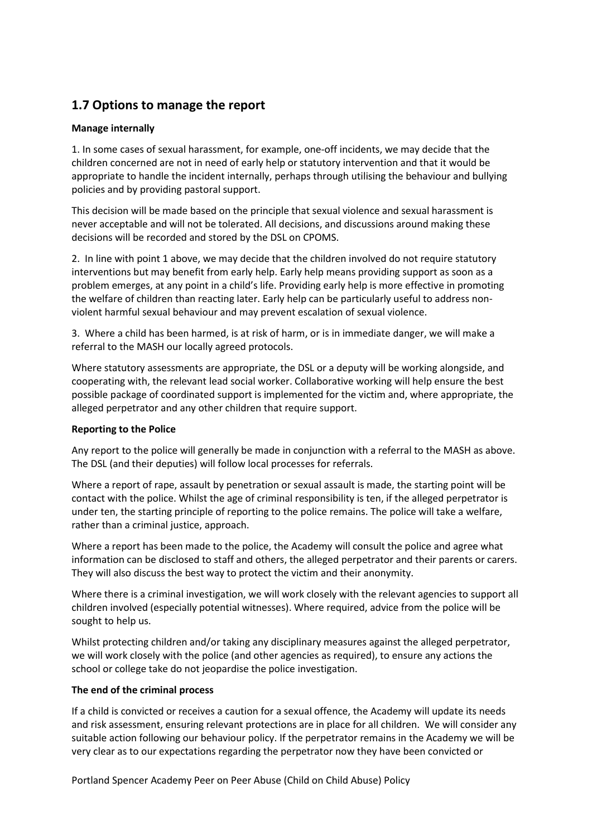## **1.7 Options to manage the report**

#### **Manage internally**

1. In some cases of sexual harassment, for example, one-off incidents, we may decide that the children concerned are not in need of early help or statutory intervention and that it would be appropriate to handle the incident internally, perhaps through utilising the behaviour and bullying policies and by providing pastoral support.

This decision will be made based on the principle that sexual violence and sexual harassment is never acceptable and will not be tolerated. All decisions, and discussions around making these decisions will be recorded and stored by the DSL on CPOMS.

2. In line with point 1 above, we may decide that the children involved do not require statutory interventions but may benefit from early help. Early help means providing support as soon as a problem emerges, at any point in a child's life. Providing early help is more effective in promoting the welfare of children than reacting later. Early help can be particularly useful to address nonviolent harmful sexual behaviour and may prevent escalation of sexual violence.

3. Where a child has been harmed, is at risk of harm, or is in immediate danger, we will make a referral to the MASH our locally agreed protocols.

Where statutory assessments are appropriate, the DSL or a deputy will be working alongside, and cooperating with, the relevant lead social worker. Collaborative working will help ensure the best possible package of coordinated support is implemented for the victim and, where appropriate, the alleged perpetrator and any other children that require support.

#### **Reporting to the Police**

Any report to the police will generally be made in conjunction with a referral to the MASH as above. The DSL (and their deputies) will follow local processes for referrals.

Where a report of rape, assault by penetration or sexual assault is made, the starting point will be contact with the police. Whilst the age of criminal responsibility is ten, if the alleged perpetrator is under ten, the starting principle of reporting to the police remains. The police will take a welfare, rather than a criminal justice, approach.

Where a report has been made to the police, the Academy will consult the police and agree what information can be disclosed to staff and others, the alleged perpetrator and their parents or carers. They will also discuss the best way to protect the victim and their anonymity.

Where there is a criminal investigation, we will work closely with the relevant agencies to support all children involved (especially potential witnesses). Where required, advice from the police will be sought to help us.

Whilst protecting children and/or taking any disciplinary measures against the alleged perpetrator, we will work closely with the police (and other agencies as required), to ensure any actions the school or college take do not jeopardise the police investigation.

#### **The end of the criminal process**

If a child is convicted or receives a caution for a sexual offence, the Academy will update its needs and risk assessment, ensuring relevant protections are in place for all children. We will consider any suitable action following our behaviour policy. If the perpetrator remains in the Academy we will be very clear as to our expectations regarding the perpetrator now they have been convicted or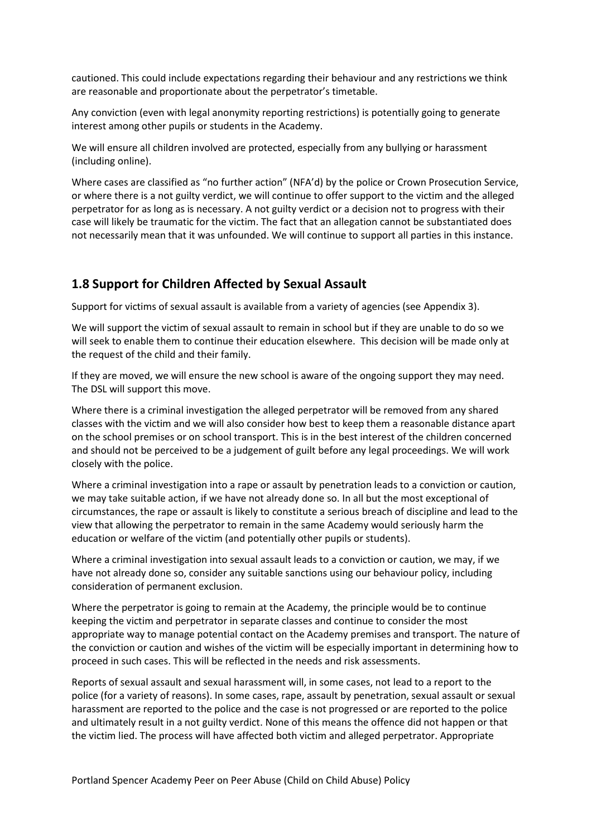cautioned. This could include expectations regarding their behaviour and any restrictions we think are reasonable and proportionate about the perpetrator's timetable.

Any conviction (even with legal anonymity reporting restrictions) is potentially going to generate interest among other pupils or students in the Academy.

We will ensure all children involved are protected, especially from any bullying or harassment (including online).

Where cases are classified as "no further action" (NFA'd) by the police or Crown Prosecution Service, or where there is a not guilty verdict, we will continue to offer support to the victim and the alleged perpetrator for as long as is necessary. A not guilty verdict or a decision not to progress with their case will likely be traumatic for the victim. The fact that an allegation cannot be substantiated does not necessarily mean that it was unfounded. We will continue to support all parties in this instance.

### **1.8 Support for Children Affected by Sexual Assault**

Support for victims of sexual assault is available from a variety of agencies (see Appendix 3).

We will support the victim of sexual assault to remain in school but if they are unable to do so we will seek to enable them to continue their education elsewhere. This decision will be made only at the request of the child and their family.

If they are moved, we will ensure the new school is aware of the ongoing support they may need. The DSL will support this move.

Where there is a criminal investigation the alleged perpetrator will be removed from any shared classes with the victim and we will also consider how best to keep them a reasonable distance apart on the school premises or on school transport. This is in the best interest of the children concerned and should not be perceived to be a judgement of guilt before any legal proceedings. We will work closely with the police.

Where a criminal investigation into a rape or assault by penetration leads to a conviction or caution, we may take suitable action, if we have not already done so. In all but the most exceptional of circumstances, the rape or assault is likely to constitute a serious breach of discipline and lead to the view that allowing the perpetrator to remain in the same Academy would seriously harm the education or welfare of the victim (and potentially other pupils or students).

Where a criminal investigation into sexual assault leads to a conviction or caution, we may, if we have not already done so, consider any suitable sanctions using our behaviour policy, including consideration of permanent exclusion.

Where the perpetrator is going to remain at the Academy, the principle would be to continue keeping the victim and perpetrator in separate classes and continue to consider the most appropriate way to manage potential contact on the Academy premises and transport. The nature of the conviction or caution and wishes of the victim will be especially important in determining how to proceed in such cases. This will be reflected in the needs and risk assessments.

Reports of sexual assault and sexual harassment will, in some cases, not lead to a report to the police (for a variety of reasons). In some cases, rape, assault by penetration, sexual assault or sexual harassment are reported to the police and the case is not progressed or are reported to the police and ultimately result in a not guilty verdict. None of this means the offence did not happen or that the victim lied. The process will have affected both victim and alleged perpetrator. Appropriate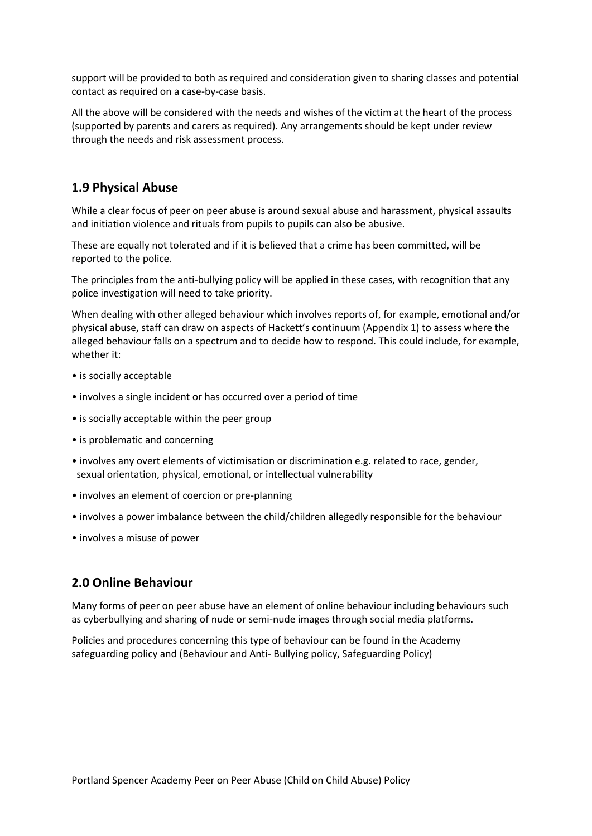support will be provided to both as required and consideration given to sharing classes and potential contact as required on a case-by-case basis.

All the above will be considered with the needs and wishes of the victim at the heart of the process (supported by parents and carers as required). Any arrangements should be kept under review through the needs and risk assessment process.

## **1.9 Physical Abuse**

While a clear focus of peer on peer abuse is around sexual abuse and harassment, physical assaults and initiation violence and rituals from pupils to pupils can also be abusive.

These are equally not tolerated and if it is believed that a crime has been committed, will be reported to the police.

The principles from the anti-bullying policy will be applied in these cases, with recognition that any police investigation will need to take priority.

When dealing with other alleged behaviour which involves reports of, for example, emotional and/or physical abuse, staff can draw on aspects of Hackett's continuum (Appendix 1) to assess where the alleged behaviour falls on a spectrum and to decide how to respond. This could include, for example, whether it:

- is socially acceptable
- involves a single incident or has occurred over a period of time
- is socially acceptable within the peer group
- is problematic and concerning
- involves any overt elements of victimisation or discrimination e.g. related to race, gender, sexual orientation, physical, emotional, or intellectual vulnerability
- involves an element of coercion or pre-planning
- involves a power imbalance between the child/children allegedly responsible for the behaviour
- involves a misuse of power

### **2.0 Online Behaviour**

Many forms of peer on peer abuse have an element of online behaviour including behaviours such as cyberbullying and sharing of nude or semi-nude images through social media platforms.

Policies and procedures concerning this type of behaviour can be found in the Academy safeguarding policy and (Behaviour and Anti- Bullying policy, Safeguarding Policy)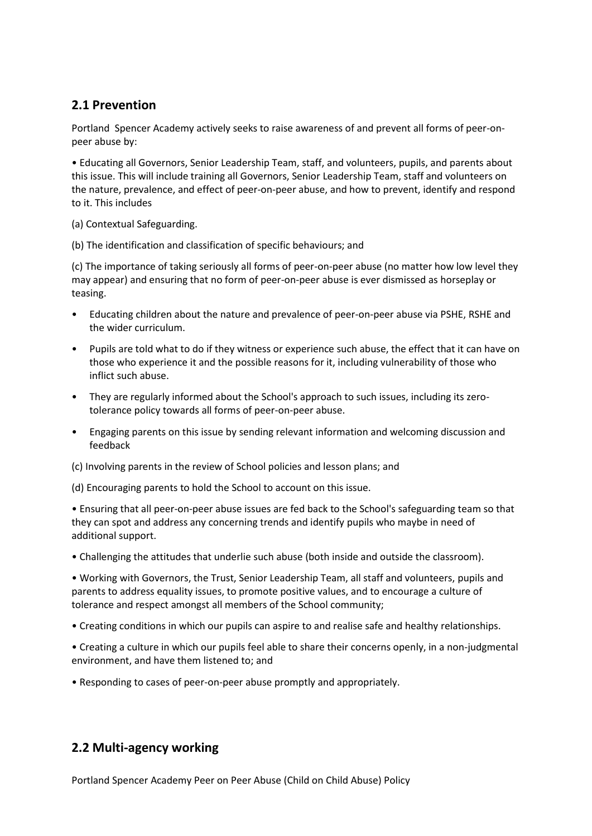## **2.1 Prevention**

Portland Spencer Academy actively seeks to raise awareness of and prevent all forms of peer-onpeer abuse by:

• Educating all Governors, Senior Leadership Team, staff, and volunteers, pupils, and parents about this issue. This will include training all Governors, Senior Leadership Team, staff and volunteers on the nature, prevalence, and effect of peer-on-peer abuse, and how to prevent, identify and respond to it. This includes

(a) Contextual Safeguarding.

(b) The identification and classification of specific behaviours; and

(c) The importance of taking seriously all forms of peer-on-peer abuse (no matter how low level they may appear) and ensuring that no form of peer-on-peer abuse is ever dismissed as horseplay or teasing.

- Educating children about the nature and prevalence of peer-on-peer abuse via PSHE, RSHE and the wider curriculum.
- Pupils are told what to do if they witness or experience such abuse, the effect that it can have on those who experience it and the possible reasons for it, including vulnerability of those who inflict such abuse.
- They are regularly informed about the School's approach to such issues, including its zerotolerance policy towards all forms of peer-on-peer abuse.
- Engaging parents on this issue by sending relevant information and welcoming discussion and feedback
- (c) Involving parents in the review of School policies and lesson plans; and

(d) Encouraging parents to hold the School to account on this issue.

• Ensuring that all peer-on-peer abuse issues are fed back to the School's safeguarding team so that they can spot and address any concerning trends and identify pupils who maybe in need of additional support.

• Challenging the attitudes that underlie such abuse (both inside and outside the classroom).

• Working with Governors, the Trust, Senior Leadership Team, all staff and volunteers, pupils and parents to address equality issues, to promote positive values, and to encourage a culture of tolerance and respect amongst all members of the School community;

- Creating conditions in which our pupils can aspire to and realise safe and healthy relationships.
- Creating a culture in which our pupils feel able to share their concerns openly, in a non-judgmental environment, and have them listened to; and
- Responding to cases of peer-on-peer abuse promptly and appropriately.

## **2.2 Multi-agency working**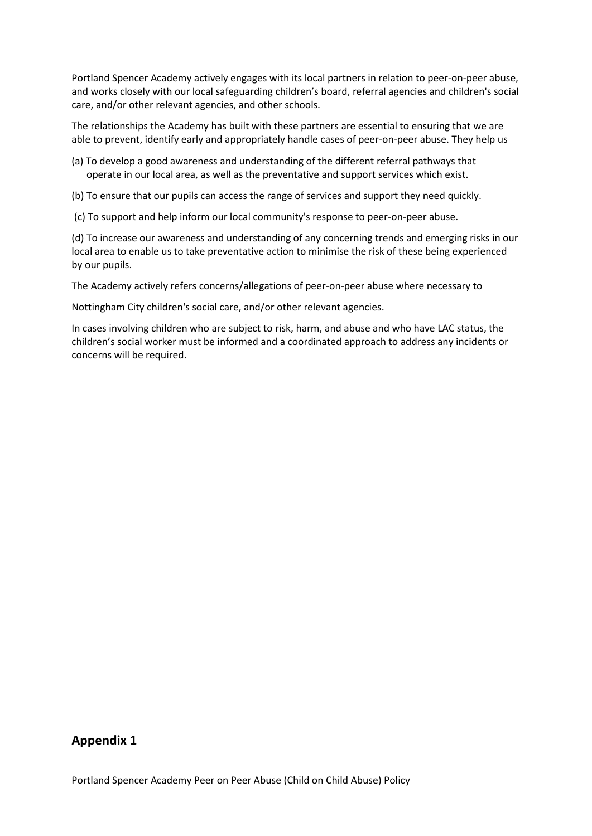Portland Spencer Academy actively engages with its local partners in relation to peer-on-peer abuse, and works closely with our local safeguarding children's board, referral agencies and children's social care, and/or other relevant agencies, and other schools.

The relationships the Academy has built with these partners are essential to ensuring that we are able to prevent, identify early and appropriately handle cases of peer-on-peer abuse. They help us

- (a) To develop a good awareness and understanding of the different referral pathways that operate in our local area, as well as the preventative and support services which exist.
- (b) To ensure that our pupils can access the range of services and support they need quickly.
- (c) To support and help inform our local community's response to peer-on-peer abuse.

(d) To increase our awareness and understanding of any concerning trends and emerging risks in our local area to enable us to take preventative action to minimise the risk of these being experienced by our pupils.

The Academy actively refers concerns/allegations of peer-on-peer abuse where necessary to

Nottingham City children's social care, and/or other relevant agencies.

In cases involving children who are subject to risk, harm, and abuse and who have LAC status, the children's social worker must be informed and a coordinated approach to address any incidents or concerns will be required.

#### **Appendix 1**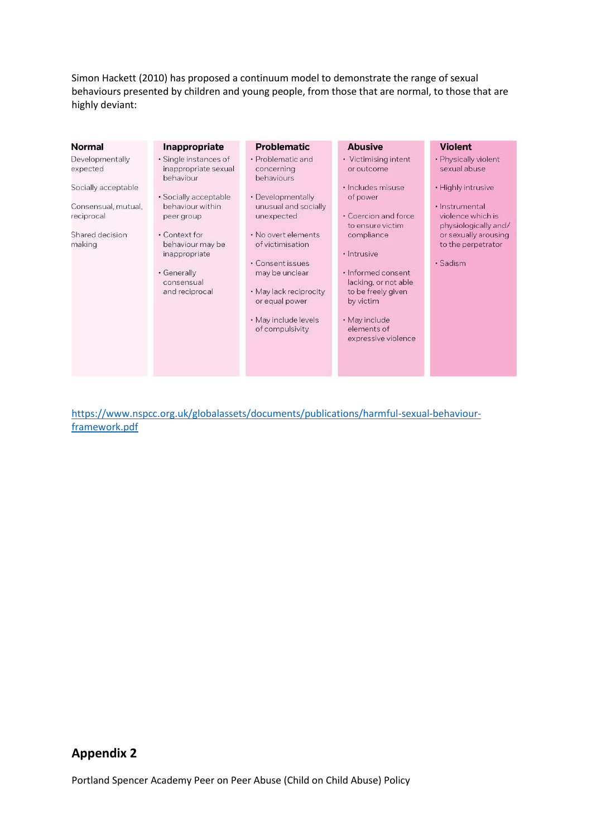Simon Hackett (2010) has proposed a continuum model to demonstrate the range of sexual behaviours presented by children and young people, from those that are normal, to those that are highly deviant:

|                                                                                                                                                                                                                                                                                                                                                                                              | <b>Problematic</b><br><b>Abusive</b><br><b>Violent</b>                                                                                                                                                                                                                                                                                                                                                                                                                                                                                                                                                                                                                                                                |
|----------------------------------------------------------------------------------------------------------------------------------------------------------------------------------------------------------------------------------------------------------------------------------------------------------------------------------------------------------------------------------------------|-----------------------------------------------------------------------------------------------------------------------------------------------------------------------------------------------------------------------------------------------------------------------------------------------------------------------------------------------------------------------------------------------------------------------------------------------------------------------------------------------------------------------------------------------------------------------------------------------------------------------------------------------------------------------------------------------------------------------|
| Developmentally<br>· Single instances of<br>inappropriate sexual<br>expected<br>concerning<br>behaviour<br>behaviours<br>Socially acceptable<br>· Socially acceptable<br>behaviour within<br>Consensual, mutual,<br>unexpected<br>reciprocal<br>peer group<br>Shared decision<br>• Context for<br>making<br>behaviour may be<br>inappropriate<br>• Generally<br>consensual<br>and reciprocal | • Problematic and<br>· Physically violent<br>• Victimising intent<br>sexual abuse<br>or outcome<br>• Highly intrusive<br>· Includes misuse<br>· Developmentally<br>of power<br>unusual and socially<br>· Instrumental<br>• Coercion and force<br>violence which is<br>physiologically and/<br>to ensure victim<br>· No overt elements<br>or sexually arousing<br>compliance<br>to the perpetrator<br>of victimisation<br>· Intrusive<br>• Consent issues<br>· Sadism<br>· Informed consent<br>may be unclear<br>lacking, or not able<br>• May lack reciprocity<br>to be freely given<br>or equal power<br>by victim<br>· May include levels<br>• May include<br>of compulsivity<br>elements of<br>expressive violence |

[https://www.nspcc.org.uk/globalassets/documents/publications/harmful-sexual-behaviour](https://www.nspcc.org.uk/globalassets/documents/publications/harmful-sexual-behaviour-framework.pdf)[framework.pdf](https://www.nspcc.org.uk/globalassets/documents/publications/harmful-sexual-behaviour-framework.pdf)

## **Appendix 2**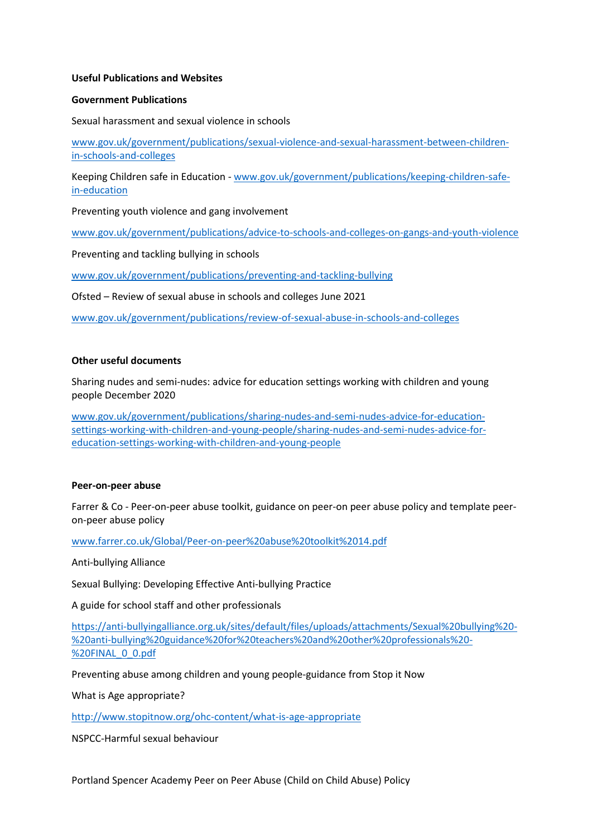#### **Useful Publications and Websites**

#### **Government Publications**

Sexual harassment and sexual violence in schools

[www.gov.uk/government/publications/sexual-violence-and-sexual-harassment-between-children](http://www.gov.uk/government/publications/sexual-violence-and-sexual-harassment-between-children-in-schools-and-colleges)[in-schools-and-colleges](http://www.gov.uk/government/publications/sexual-violence-and-sexual-harassment-between-children-in-schools-and-colleges)

Keeping Children safe in Education - [www.gov.uk/government/publications/keeping-children-safe](http://www.gov.uk/government/publications/keeping-children-safe-in-education)[in-education](http://www.gov.uk/government/publications/keeping-children-safe-in-education)

Preventing youth violence and gang involvement

[www.gov.uk/government/publications/advice-to-schools-and-colleges-on-gangs-and-youth-violence](http://www.gov.uk/government/publications/advice-to-schools-and-colleges-on-gangs-and-youth-violence)

Preventing and tackling bullying in schools

[www.gov.uk/government/publications/preventing-and-tackling-bullying](http://www.gov.uk/government/publications/preventing-and-tackling-bullying)

Ofsted – Review of sexual abuse in schools and colleges June 2021

[www.gov.uk/government/publications/review-of-sexual-abuse-in-schools-and-colleges](http://www.gov.uk/government/publications/review-of-sexual-abuse-in-schools-and-colleges)

#### **Other useful documents**

Sharing nudes and semi-nudes: advice for education settings working with children and young people December 2020

[www.gov.uk/government/publications/sharing-nudes-and-semi-nudes-advice-for-education](http://www.gov.uk/government/publications/sharing-nudes-and-semi-nudes-advice-for-education-settings-working-with-children-and-young-people/sharing-nudes-and-semi-nudes-advice-for-education-settings-working-with-children-and-young-people)[settings-working-with-children-and-young-people/sharing-nudes-and-semi-nudes-advice-for](http://www.gov.uk/government/publications/sharing-nudes-and-semi-nudes-advice-for-education-settings-working-with-children-and-young-people/sharing-nudes-and-semi-nudes-advice-for-education-settings-working-with-children-and-young-people)[education-settings-working-with-children-and-young-people](http://www.gov.uk/government/publications/sharing-nudes-and-semi-nudes-advice-for-education-settings-working-with-children-and-young-people/sharing-nudes-and-semi-nudes-advice-for-education-settings-working-with-children-and-young-people)

#### **Peer-on-peer abuse**

Farrer & Co - Peer-on-peer abuse toolkit, guidance on peer-on peer abuse policy and template peeron-peer abuse policy

[www.farrer.co.uk/Global/Peer-on-peer%20abuse%20toolkit%2014.pdf](http://www.farrer.co.uk/Global/Peer-on-peer%20abuse%20toolkit%2014.pdf)

Anti-bullying Alliance

Sexual Bullying: Developing Effective Anti-bullying Practice

A guide for school staff and other professionals

[https://anti-bullyingalliance.org.uk/sites/default/files/uploads/attachments/Sexual%20bullying%20-](https://anti-bullyingalliance.org.uk/sites/default/files/uploads/attachments/Sexual%20bullying%20-%20anti-bullying%20guidance%20for%20teachers%20and%20other%20professionals%20-%20FINAL_0_0.pdf) [%20anti-bullying%20guidance%20for%20teachers%20and%20other%20professionals%20-](https://anti-bullyingalliance.org.uk/sites/default/files/uploads/attachments/Sexual%20bullying%20-%20anti-bullying%20guidance%20for%20teachers%20and%20other%20professionals%20-%20FINAL_0_0.pdf) [%20FINAL\\_0\\_0.pdf](https://anti-bullyingalliance.org.uk/sites/default/files/uploads/attachments/Sexual%20bullying%20-%20anti-bullying%20guidance%20for%20teachers%20and%20other%20professionals%20-%20FINAL_0_0.pdf)

Preventing abuse among children and young people-guidance from Stop it Now

What is Age appropriate?

<http://www.stopitnow.org/ohc-content/what-is-age-appropriate>

NSPCC-Harmful sexual behaviour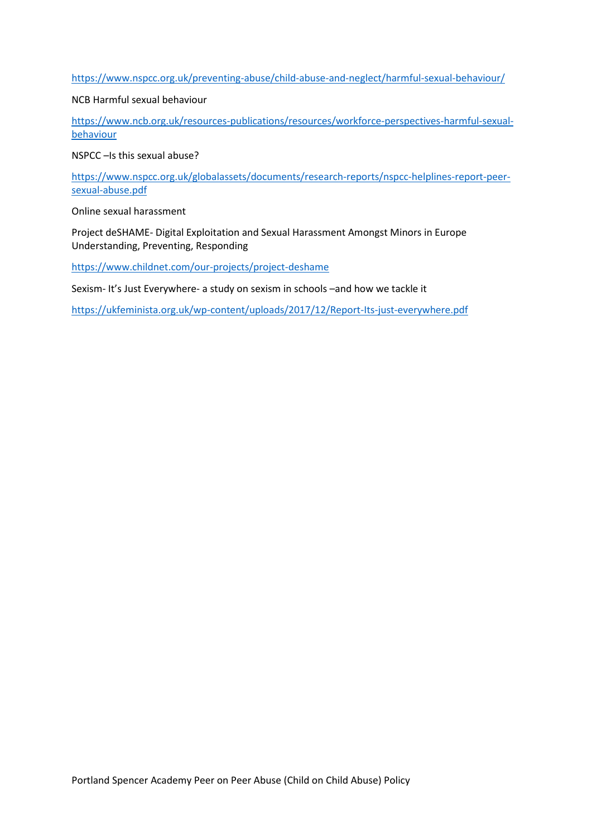<https://www.nspcc.org.uk/preventing-abuse/child-abuse-and-neglect/harmful-sexual-behaviour/>

#### NCB Harmful sexual behaviour

[https://www.ncb.org.uk/resources-publications/resources/workforce-perspectives-harmful-sexual](https://www.ncb.org.uk/resources-publications/resources/workforce-perspectives-harmful-sexual-behaviour)[behaviour](https://www.ncb.org.uk/resources-publications/resources/workforce-perspectives-harmful-sexual-behaviour)

NSPCC –Is this sexual abuse?

[https://www.nspcc.org.uk/globalassets/documents/research-reports/nspcc-helplines-report-peer](https://www.nspcc.org.uk/globalassets/documents/research-reports/nspcc-helplines-report-peer-sexual-abuse.pdf)[sexual-abuse.pdf](https://www.nspcc.org.uk/globalassets/documents/research-reports/nspcc-helplines-report-peer-sexual-abuse.pdf)

Online sexual harassment

Project deSHAME- Digital Exploitation and Sexual Harassment Amongst Minors in Europe Understanding, Preventing, Responding

<https://www.childnet.com/our-projects/project-deshame>

Sexism- It's Just Everywhere- a study on sexism in schools –and how we tackle it

<https://ukfeminista.org.uk/wp-content/uploads/2017/12/Report-Its-just-everywhere.pdf>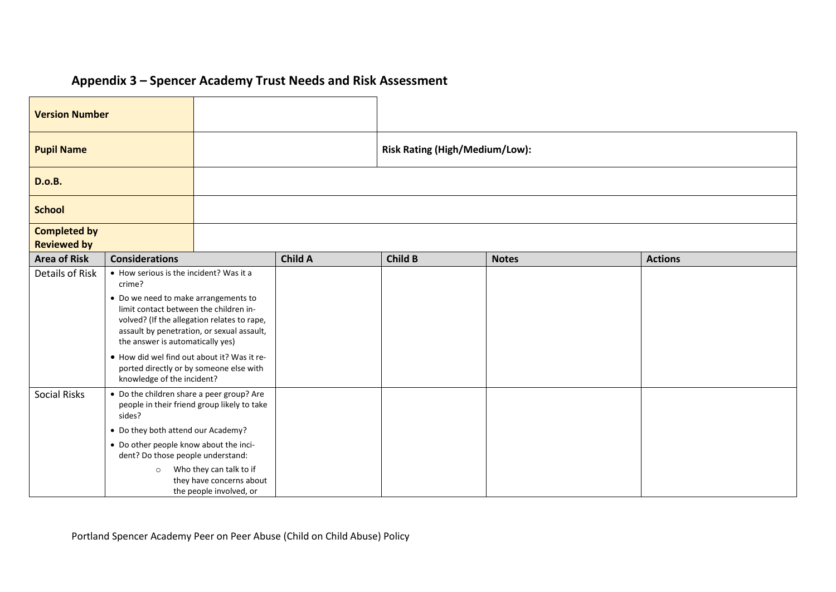## **Appendix 3 – Spencer Academy Trust Needs and Risk Assessment**

| <b>Version Number</b>                     |                                                                                                                                                                                                                                                                                                                                                                                              |  |                                       |         |              |                |
|-------------------------------------------|----------------------------------------------------------------------------------------------------------------------------------------------------------------------------------------------------------------------------------------------------------------------------------------------------------------------------------------------------------------------------------------------|--|---------------------------------------|---------|--------------|----------------|
| <b>Pupil Name</b>                         |                                                                                                                                                                                                                                                                                                                                                                                              |  | <b>Risk Rating (High/Medium/Low):</b> |         |              |                |
| <b>D.o.B.</b>                             |                                                                                                                                                                                                                                                                                                                                                                                              |  |                                       |         |              |                |
| <b>School</b>                             |                                                                                                                                                                                                                                                                                                                                                                                              |  |                                       |         |              |                |
| <b>Completed by</b><br><b>Reviewed by</b> |                                                                                                                                                                                                                                                                                                                                                                                              |  |                                       |         |              |                |
| <b>Area of Risk</b>                       | <b>Considerations</b>                                                                                                                                                                                                                                                                                                                                                                        |  | <b>Child A</b>                        | Child B | <b>Notes</b> | <b>Actions</b> |
| Details of Risk                           | • How serious is the incident? Was it a<br>crime?<br>• Do we need to make arrangements to<br>limit contact between the children in-<br>volved? (If the allegation relates to rape,<br>assault by penetration, or sexual assault,<br>the answer is automatically yes)<br>. How did wel find out about it? Was it re-<br>ported directly or by someone else with<br>knowledge of the incident? |  |                                       |         |              |                |
| <b>Social Risks</b>                       | • Do the children share a peer group? Are<br>people in their friend group likely to take<br>sides?<br>• Do they both attend our Academy?<br>• Do other people know about the inci-<br>dent? Do those people understand:<br>Who they can talk to if<br>$\circ$<br>they have concerns about<br>the people involved, or                                                                         |  |                                       |         |              |                |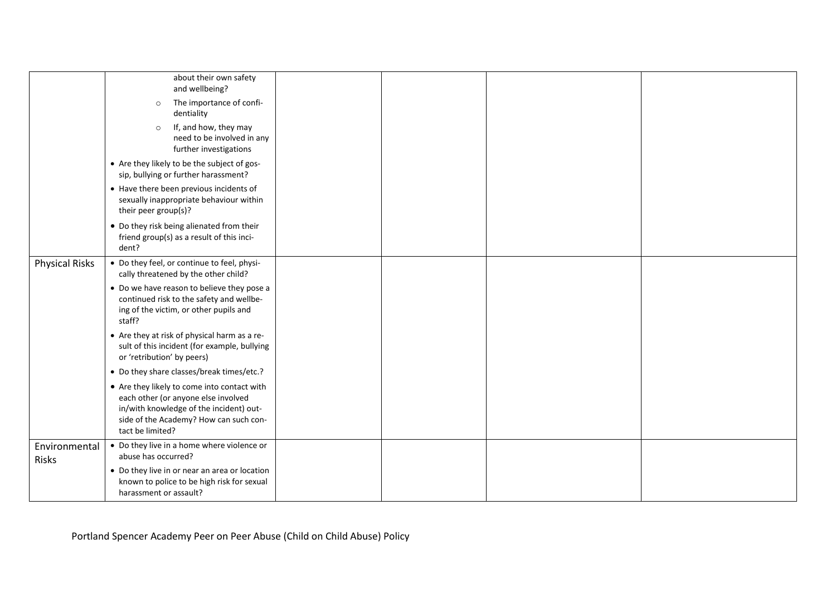|                               | about their own safety<br>and wellbeing?                                                                                                                                                    |  |  |
|-------------------------------|---------------------------------------------------------------------------------------------------------------------------------------------------------------------------------------------|--|--|
|                               | The importance of confi-<br>$\circ$<br>dentiality                                                                                                                                           |  |  |
|                               | If, and how, they may<br>$\circ$<br>need to be involved in any<br>further investigations                                                                                                    |  |  |
|                               | • Are they likely to be the subject of gos-<br>sip, bullying or further harassment?                                                                                                         |  |  |
|                               | • Have there been previous incidents of<br>sexually inappropriate behaviour within<br>their peer group(s)?                                                                                  |  |  |
|                               | • Do they risk being alienated from their<br>friend group(s) as a result of this inci-<br>dent?                                                                                             |  |  |
| <b>Physical Risks</b>         | • Do they feel, or continue to feel, physi-<br>cally threatened by the other child?                                                                                                         |  |  |
|                               | • Do we have reason to believe they pose a<br>continued risk to the safety and wellbe-<br>ing of the victim, or other pupils and<br>staff?                                                  |  |  |
|                               | • Are they at risk of physical harm as a re-<br>sult of this incident (for example, bullying<br>or 'retribution' by peers)                                                                  |  |  |
|                               | • Do they share classes/break times/etc.?                                                                                                                                                   |  |  |
|                               | • Are they likely to come into contact with<br>each other (or anyone else involved<br>in/with knowledge of the incident) out-<br>side of the Academy? How can such con-<br>tact be limited? |  |  |
| Environmental<br><b>Risks</b> | • Do they live in a home where violence or<br>abuse has occurred?                                                                                                                           |  |  |
|                               | • Do they live in or near an area or location<br>known to police to be high risk for sexual<br>harassment or assault?                                                                       |  |  |